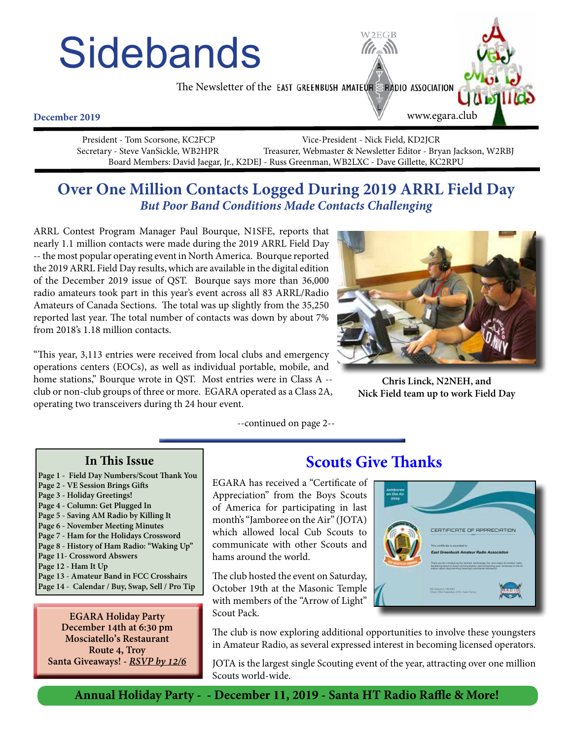# **Sidebands**

The Newsletter of the EAST GREENBUSH AMATEUR SRADIO ASSOCIATION

#### **December 2019**

 President - Tom Scorsone, KC2FCP Vice-President - Nick Field, KD2JCR Secretary - Steve VanSickle, WB2HPR Treasurer, Webmaster & Newsletter Editor - Bryan Jackson, W2RBJ Board Members: David Jaegar, Jr., K2DEJ - Russ Greenman, WB2LXC - Dave Gillette, KC2RPU

# **Over One Million Contacts Logged During 2019 ARRL Field Day** *But Poor Band Conditions Made Contacts Challenging*

ARRL Contest Program Manager Paul Bourque, N1SFE, reports that nearly 1.1 million contacts were made during the 2019 ARRL Field Day -- the most popular operating event in North America. Bourque reported the 2019 ARRL Field Day results, which are available in the digital edition of the December 2019 issue of QST. Bourque says more than 36,000 radio amateurs took part in this year's event across all 83 ARRL/Radio Amateurs of Canada Sections. The total was up slightly from the 35,250 reported last year. The total number of contacts was down by about 7% from 2018's 1.18 million contacts.

"This year, 3,113 entries were received from local clubs and emergency operations centers (EOCs), as well as individual portable, mobile, and home stations," Bourque wrote in QST. Most entries were in Class A - club or non-club groups of three or more. EGARA operated as a Class 2A, operating two transceivers during th 24 hour event.

--continued on page 2--

EGARA has received a "Certificate of Appreciation" from the Boys Scouts of America for participating in last month's "Jamboree on the Air" (JOTA) which allowed local Cub Scouts to communicate with other Scouts and hams around the world.

The club hosted the event on Saturday, October 19th at the Masonic Temple with members of the "Arrow of Light" Scout Pack.

### The club is now exploring additional opportunities to involve these youngsters in Amateur Radio, as several expressed interest in becoming licensed operators.

JOTA is the largest single Scouting event of the year, attracting over one million Scouts world-wide.

**Annual Holiday Party - - December 11, 2019 - Santa HT Radio Raffle & More!**

# **Scouts Give Thanks**









**Page 14 - Calendar / Buy, Swap, Sell / Pro Tip**

**Page 13 - Amateur Band in FCC Crosshairs**

**EGARA Holiday Party December 14th at 6:30 pm Mosciatello's Restaurant Route 4, Troy Santa Giveaways! -** *RSVP by 12/6*

**In This Issue Page 1 - Field Day Numbers/Scout Thank You**

**Page 2 - VE Session Brings Gifts Page 3 - Holiday Greetings! Page 4 - Column: Get Plugged In Page 5 - Saving AM Radio by Killing It Page 6 - November Meeting Minutes Page 7 - Ham for the Holidays Crossword Page 8 - History of Ham Radio: "Waking Up"**

**Page 11- Crossword Abswers Page 12 - Ham It Up**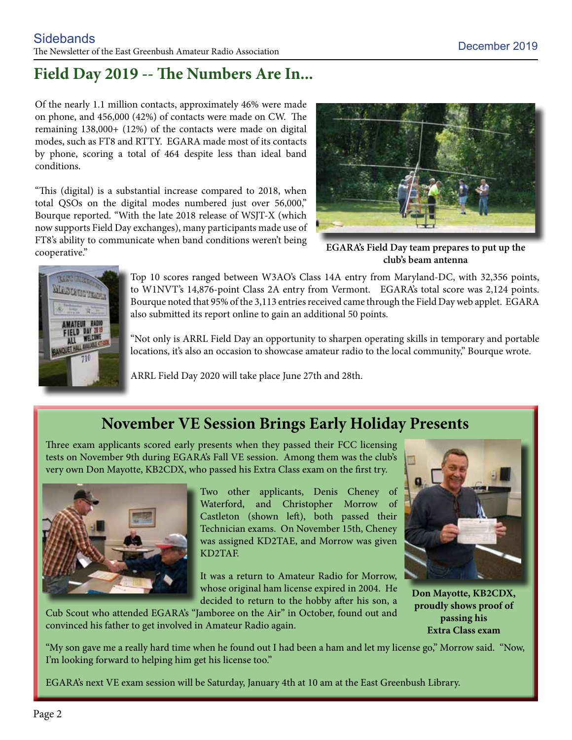# **Field Day 2019 -- The Numbers Are In...**

Of the nearly 1.1 million contacts, approximately 46% were made on phone, and 456,000 (42%) of contacts were made on CW. The remaining 138,000+ (12%) of the contacts were made on digital modes, such as FT8 and RTTY. EGARA made most of its contacts by phone, scoring a total of 464 despite less than ideal band conditions.

"This (digital) is a substantial increase compared to 2018, when total QSOs on the digital modes numbered just over 56,000," Bourque reported. "With the late 2018 release of WSJT-X (which now supports Field Day exchanges), many participants made use of FT8's ability to communicate when band conditions weren't being cooperative."



**EGARA's Field Day team prepares to put up the club's beam antenna**



Top 10 scores ranged between W3AO's Class 14A entry from Maryland-DC, with 32,356 points, to W1NVT's 14,876-point Class 2A entry from Vermont. EGARA's total score was 2,124 points. Bourque noted that 95% of the 3,113 entries received came through the Field Day web applet. EGARA also submitted its report online to gain an additional 50 points.

"Not only is ARRL Field Day an opportunity to sharpen operating skills in temporary and portable locations, it's also an occasion to showcase amateur radio to the local community," Bourque wrote.

ARRL Field Day 2020 will take place June 27th and 28th.

# **November VE Session Brings Early Holiday Presents**

Three exam applicants scored early presents when they passed their FCC licensing tests on November 9th during EGARA's Fall VE session. Among them was the club's very own Don Mayotte, KB2CDX, who passed his Extra Class exam on the first try.



Two other applicants, Denis Cheney of Waterford, and Christopher Morrow of Castleton (shown left), both passed their Technician exams. On November 15th, Cheney was assigned KD2TAE, and Morrow was given KD2TAF.

It was a return to Amateur Radio for Morrow, whose original ham license expired in 2004. He decided to return to the hobby after his son, a



**Don Mayotte, KB2CDX, proudly shows proof of passing his Extra Class exam**

Cub Scout who attended EGARA's "Jamboree on the Air" in October, found out and convinced his father to get involved in Amateur Radio again.

"My son gave me a really hard time when he found out I had been a ham and let my license go," Morrow said. "Now, I'm looking forward to helping him get his license too."

EGARA's next VE exam session will be Saturday, January 4th at 10 am at the East Greenbush Library.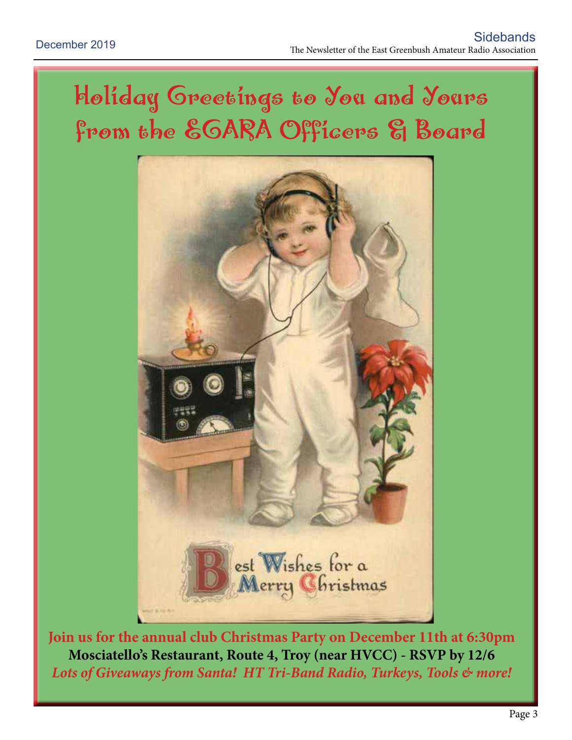# Holiday Greetings to You and Yours from the EGARA Officers & Board



**Join us for the annual club Christmas Party on December 11th at 6:30pm Mosciatello's Restaurant, Route 4, Troy (near HVCC) - RSVP by 12/6** *Lots of Giveaways from Santa! HT Tri-Band Radio, Turkeys, Tools & more!*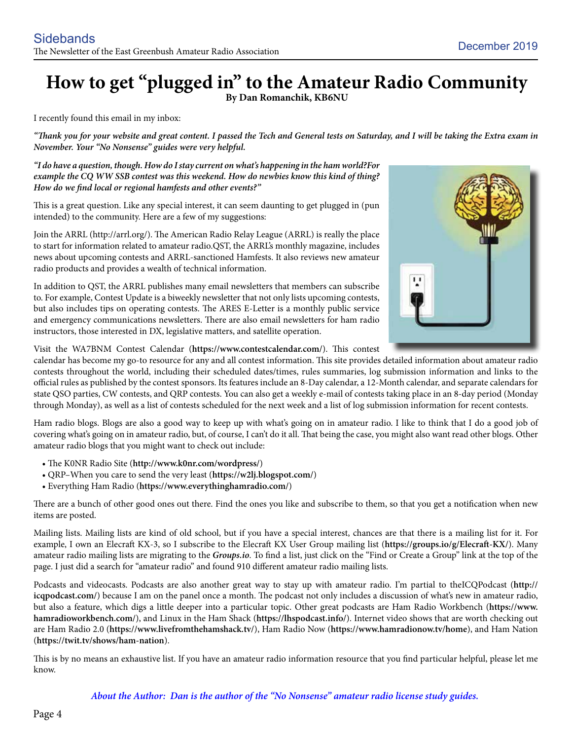# **How to get "plugged in" to the Amateur Radio Community By Dan Romanchik, KB6NU**

I recently found this email in my inbox:

*"Thank you for your website and great content. I passed the Tech and General tests on Saturday, and I will be taking the Extra exam in November. Your "No Nonsense" guides were very helpful.*

*"I do have a question, though. How do I stay current on what's happening in the ham world?For example the CQ WW SSB contest was this weekend. How do newbies know this kind of thing? How do we find local or regional hamfests and other events?"*

This is a great question. Like any special interest, it can seem daunting to get plugged in (pun intended) to the community. Here are a few of my suggestions:

Join the ARRL (http://arrl.org/). The American Radio Relay League (ARRL) is really the place to start for information related to amateur radio.QST, the ARRL's monthly magazine, includes news about upcoming contests and ARRL-sanctioned Hamfests. It also reviews new amateur radio products and provides a wealth of technical information.

In addition to QST, the ARRL publishes many email newsletters that members can subscribe to. For example, Contest Update is a biweekly newsletter that not only lists upcoming contests, but also includes tips on operating contests. The ARES E-Letter is a monthly public service and emergency communications newsletters. There are also email newsletters for ham radio instructors, those interested in DX, legislative matters, and satellite operation.



Visit the WA7BNM Contest Calendar (**https://www.contestcalendar.com/**). This contest

calendar has become my go-to resource for any and all contest information. This site provides detailed information about amateur radio contests throughout the world, including their scheduled dates/times, rules summaries, log submission information and links to the official rules as published by the contest sponsors. Its features include an 8-Day calendar, a 12-Month calendar, and separate calendars for state QSO parties, CW contests, and QRP contests. You can also get a weekly e-mail of contests taking place in an 8-day period (Monday through Monday), as well as a list of contests scheduled for the next week and a list of log submission information for recent contests.

Ham radio blogs. Blogs are also a good way to keep up with what's going on in amateur radio. I like to think that I do a good job of covering what's going on in amateur radio, but, of course, I can't do it all. That being the case, you might also want read other blogs. Other amateur radio blogs that you might want to check out include:

- The K0NR Radio Site (**http://www.k0nr.com/wordpress/**)
- QRP–When you care to send the very least (**https://w2lj.blogspot.com/**)
- Everything Ham Radio (**https://www.everythinghamradio.com/**)

There are a bunch of other good ones out there. Find the ones you like and subscribe to them, so that you get a notification when new items are posted.

Mailing lists. Mailing lists are kind of old school, but if you have a special interest, chances are that there is a mailing list for it. For example, I own an Elecraft KX-3, so I subscribe to the Elecraft KX User Group mailing list (**https://groups.io/g/Elecraft-KX/**). Many amateur radio mailing lists are migrating to the *Groups.io*. To find a list, just click on the "Find or Create a Group" link at the top of the page. I just did a search for "amateur radio" and found 910 different amateur radio mailing lists.

Podcasts and videocasts. Podcasts are also another great way to stay up with amateur radio. I'm partial to theICQPodcast (**http:// icqpodcast.com/**) because I am on the panel once a month. The podcast not only includes a discussion of what's new in amateur radio, but also a feature, which digs a little deeper into a particular topic. Other great podcasts are Ham Radio Workbench (**https://www. hamradioworkbench.com/**), and Linux in the Ham Shack (**https://lhspodcast.info/**). Internet video shows that are worth checking out are Ham Radio 2.0 (**https://www.livefromthehamshack.tv/**), Ham Radio Now (**https://www.hamradionow.tv/home**), and Ham Nation (**https://twit.tv/shows/ham-nation**).

This is by no means an exhaustive list. If you have an amateur radio information resource that you find particular helpful, please let me know.

*About the Author: Dan is the author of the "No Nonsense" amateur radio license study guides.*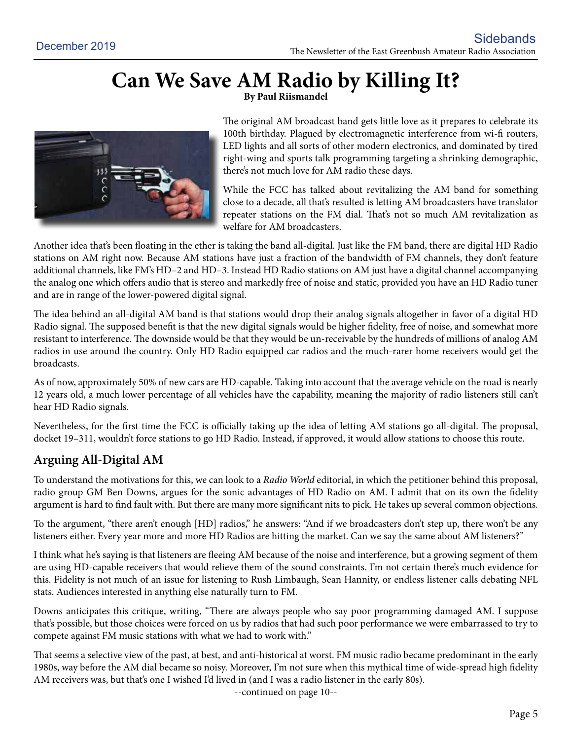# Can We Save AM Radio by Killing It?



The original AM broadcast band gets little love as it prepares to celebrate its 100th birthday. Plagued by electromagnetic interference from wi-fi routers, LED lights and all sorts of other modern electronics, and dominated by tired right-wing and sports talk programming targeting a shrinking demographic, there's not much love for AM radio these days.

While the FCC has talked about revitalizing the AM band for something close to a decade, all that's resulted is letting AM broadcasters have translator repeater stations on the FM dial. That's not so much AM revitalization as welfare for AM broadcasters.

Another idea that's been floating in the ether is taking the band all-digital. Just like the FM band, there are digital HD Radio stations on AM right now. Because AM stations have just a fraction of the bandwidth of FM channels, they don't feature additional channels, like FM's HD–2 and HD–3. Instead HD Radio stations on AM just have a digital channel accompanying the analog one which offers audio that is stereo and markedly free of noise and static, provided you have an HD Radio tuner and are in range of the lower-powered digital signal.

The idea behind an all-digital AM band is that stations would drop their analog signals altogether in favor of a digital HD Radio signal. The supposed benefit is that the new digital signals would be higher fidelity, free of noise, and somewhat more resistant to interference. The downside would be that they would be un-receivable by the hundreds of millions of analog AM radios in use around the country. Only HD Radio equipped car radios and the much-rarer home receivers would get the broadcasts.

As of now, approximately 50% of new cars are HD-capable. Taking into account that the average vehicle on the road is nearly 12 years old, a much lower percentage of all vehicles have the capability, meaning the majority of radio listeners still can't hear HD Radio signals.

Nevertheless, for the first time the FCC is officially taking up the idea of letting AM stations go all-digital. The proposal, docket 19–311, wouldn't force stations to go HD Radio. Instead, if approved, it would allow stations to choose this route.

# **Arguing All-Digital AM**

To understand the motivations for this, we can look to a *Radio World* editorial, in which the petitioner behind this proposal, radio group GM Ben Downs, argues for the sonic advantages of HD Radio on AM. I admit that on its own the fidelity argument is hard to find fault with. But there are many more significant nits to pick. He takes up several common objections.

To the argument, "there aren't enough [HD] radios," he answers: "And if we broadcasters don't step up, there won't be any listeners either. Every year more and more HD Radios are hitting the market. Can we say the same about AM listeners?"

I think what he's saying is that listeners are fleeing AM because of the noise and interference, but a growing segment of them are using HD-capable receivers that would relieve them of the sound constraints. I'm not certain there's much evidence for this. Fidelity is not much of an issue for listening to Rush Limbaugh, Sean Hannity, or endless listener calls debating NFL stats. Audiences interested in anything else naturally turn to FM.

Downs anticipates this critique, writing, "There are always people who say poor programming damaged AM. I suppose that's possible, but those choices were forced on us by radios that had such poor performance we were embarrassed to try to compete against FM music stations with what we had to work with."

That seems a selective view of the past, at best, and anti-historical at worst. FM music radio became predominant in the early 1980s, way before the AM dial became so noisy. Moreover, I'm not sure when this mythical time of wide-spread high fidelity AM receivers was, but that's one I wished I'd lived in (and I was a radio listener in the early 80s).

--continued on page 10--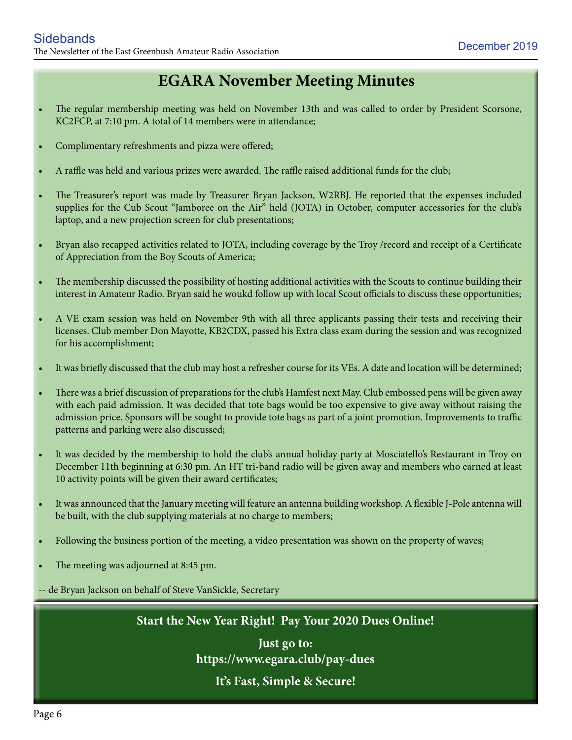# **EGARA November Meeting Minutes**

- The regular membership meeting was held on November 13th and was called to order by President Scorsone, KC2FCP, at 7:10 pm. A total of 14 members were in attendance;
- Complimentary refreshments and pizza were offered;
- A raffle was held and various prizes were awarded. The raffle raised additional funds for the club;
- The Treasurer's report was made by Treasurer Bryan Jackson, W2RBJ. He reported that the expenses included supplies for the Cub Scout "Jamboree on the Air" held (JOTA) in October, computer accessories for the club's laptop, and a new projection screen for club presentations;
- Bryan also recapped activities related to JOTA, including coverage by the Troy /record and receipt of a Certificate of Appreciation from the Boy Scouts of America;
- The membership discussed the possibility of hosting additional activities with the Scouts to continue building their interest in Amateur Radio. Bryan said he woukd follow up with local Scout officials to discuss these opportunities;
- A VE exam session was held on November 9th with all three applicants passing their tests and receiving their licenses. Club member Don Mayotte, KB2CDX, passed his Extra class exam during the session and was recognized for his accomplishment;
- It was briefly discussed that the club may host a refresher course for its VEs. A date and location will be determined;
- There was a brief discussion of preparations for the club's Hamfest next May. Club embossed pens will be given away with each paid admission. It was decided that tote bags would be too expensive to give away without raising the admission price. Sponsors will be sought to provide tote bags as part of a joint promotion. Improvements to traffic patterns and parking were also discussed;
- It was decided by the membership to hold the club's annual holiday party at Mosciatello's Restaurant in Troy on December 11th beginning at 6:30 pm. An HT tri-band radio will be given away and members who earned at least 10 activity points will be given their award certificates;
- It was announced that the January meeting will feature an antenna building workshop. A flexible J-Pole antenna will be built, with the club supplying materials at no charge to members;
- Following the business portion of the meeting, a video presentation was shown on the property of waves;
- The meeting was adjourned at 8:45 pm.

-- de Bryan Jackson on behalf of Steve VanSickle, Secretary

**Start the New Year Right! Pay Your 2020 Dues Online!**

**Just go to: https://www.egara.club/pay-dues It's Fast, Simple & Secure!**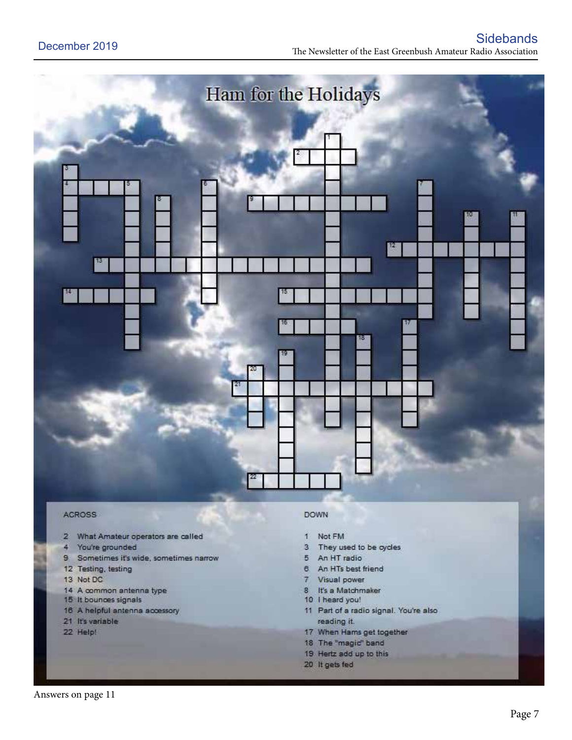

#### **ACROSS**

- What Amateur operators are called  $\mathbf{z}$
- 4 You're grounded
- $9<sup>°</sup>$ Sometimes it's wide, sometimes narrow
- 12 Testing, testing
- 13 Not DC
- 14 A common antenna type
- 15 It bounces signals
- 16 A helpful antenna accessory
- 21 It's variable
- 22 Help!

#### **DOWN**

- Not FM  $\mathbf{1}$
- They used to be cycles  $3$
- 5 An HT radio
- 6 An HTs best friend
- 7 Visual power
- 8 It's a Matchmaker
- 10 I heard you!
- 11 Part of a radio signal. You're also reading it.
- 17 When Hams get together
- 18 The "magic" band
- 19 Hertz add up to this
- 20 It gets fed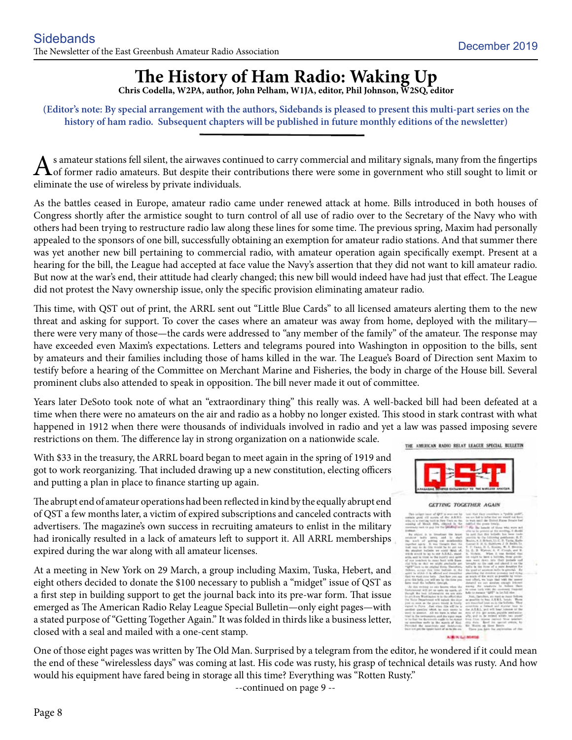# **The History of Ham Radio: Waking Up**

**Chris Codella, W2PA, author, John Pelham, W1JA, editor, Phil Johnson, W2SQ, editor**

**(Editor's note: By special arrangement with the authors, Sidebands is pleased to present this multi-part series on the history of ham radio. Subsequent chapters will be published in future monthly editions of the newsletter)**

s amateur stations fell silent, the airwaves continued to carry commercial and military signals, many from the fingertips of former radio amateurs. But despite their contributions there were some in government who still sought to limit or eliminate the use of wireless by private individuals.

As the battles ceased in Europe, amateur radio came under renewed attack at home. Bills introduced in both houses of Congress shortly after the armistice sought to turn control of all use of radio over to the Secretary of the Navy who with others had been trying to restructure radio law along these lines for some time. The previous spring, Maxim had personally appealed to the sponsors of one bill, successfully obtaining an exemption for amateur radio stations. And that summer there was yet another new bill pertaining to commercial radio, with amateur operation again specifically exempt. Present at a hearing for the bill, the League had accepted at face value the Navy's assertion that they did not want to kill amateur radio. But now at the war's end, their attitude had clearly changed; this new bill would indeed have had just that effect. The League did not protest the Navy ownership issue, only the specific provision eliminating amateur radio.

This time, with QST out of print, the ARRL sent out "Little Blue Cards" to all licensed amateurs alerting them to the new threat and asking for support. To cover the cases where an amateur was away from home, deployed with the military there were very many of those—the cards were addressed to "any member of the family" of the amateur. The response may have exceeded even Maxim's expectations. Letters and telegrams poured into Washington in opposition to the bills, sent by amateurs and their families including those of hams killed in the war. The League's Board of Direction sent Maxim to testify before a hearing of the Committee on Merchant Marine and Fisheries, the body in charge of the House bill. Several prominent clubs also attended to speak in opposition. The bill never made it out of committee.

Years later DeSoto took note of what an "extraordinary thing" this really was. A well-backed bill had been defeated at a time when there were no amateurs on the air and radio as a hobby no longer existed. This stood in stark contrast with what happened in 1912 when there were thousands of individuals involved in radio and yet a law was passed imposing severe restrictions on them. The difference lay in strong organization on a nationwide scale.

With \$33 in the treasury, the ARRL board began to meet again in the spring of 1919 and got to work reorganizing. That included drawing up a new constitution, electing officers and putting a plan in place to finance starting up again.

The abrupt end of amateur operations had been reflected in kind by the equally abrupt end of QST a few months later, a victim of expired subscriptions and canceled contracts with advertisers. The magazine's own success in recruiting amateurs to enlist in the military had ironically resulted in a lack of amateurs left to support it. All ARRL memberships expired during the war along with all amateur licenses.

At a meeting in New York on 29 March, a group including Maxim, Tuska, Hebert, and eight others decided to donate the \$100 necessary to publish a "midget" issue of QST as a first step in building support to get the journal back into its pre-war form. That issue emerged as The American Radio Relay League Special Bulletin—only eight pages—with a stated purpose of "Getting Together Again." It was folded in thirds like a business letter, closed with a seal and mailed with a one-cent stamp.

THE AMERICAN RADIO RELAY LEAGUE SPECIAL BULLETIN



#### **GETTING TOGETHER AGAIN**

| This incluste incur of GHY is won out he                                                     | less Hall face considers a "public path".<br>we see fed in later that we would not blood |
|----------------------------------------------------------------------------------------------|------------------------------------------------------------------------------------------|
| certain guns old norten of the A.R.R.L.                                                      |                                                                                          |
| icht, et a tracting built in New York on No.                                                 | is wait sent de Sidool Russe fronte had                                                  |
| ecanity of Masch 2003, chiqued in the                                                        | sabilized the present freedy. .                                                          |
| terminary rent in pay for the profitables and                                                | We the length of time who were not                                                       |
| <b>SIMMAR</b>                                                                                | after the law parameter and this monothings, 15 aboutful.                                |
| is to kinsulmer the latest<br>they also                                                      | is said that this bolishy has been track-                                                |
| colorer to has press that homested                                                           | excite to the following positionals, R. P.                                               |
| to any of arriva our moderate-                                                               | Boyle, A. J. Strikeri, Lt. C. D. Taila, Batho                                            |
| monther open. It was thought that the                                                        | Guesar H. H. G. Huttlown J. B. Balth, Ta.                                                |
| trait way do do 13th would be by got inst.                                                   | V. F. Cance, H. L. Rissian, W. A. Bertrin,                                               |
| for planshort buildebs are extend three. of                                                  | 14. E. B. Walter, A. F. Cotah, and E.                                                    |
| which several for tep to user Actual 2, stund-                                               | K. Nichols. . When It was devided that                                                   |
| atio, sail is titlet to the lives?) and select                                               | on nearly by have a holivier, Hyar gentle-                                               |
| of our tendency to must heat with fixes                                                      | non well down into their technic and                                                     |
| riot brite as child we wishe predoutly and                                                   | arraphs as the real and alored it on the                                                 |
| "QFP" lock to be reigher force. Therefore,                                                   | talls in the form of a more detailed for                                                 |
| Schless, accept this today badyake in the                                                    | the good of ampless railly in atmosph. By                                                |
| ailil le stité il à affeted and impatitent                                                   | photolog database presents had dong                                                      |
| that we want may help. Don't how you can                                                     | as work of the work as possible by recur-                                                |
| give this hold, you will see by the tone you                                                 | tool offset, we hope that with the users                                                 |
| here mul the believe theorigh.                                                               | detaind we see assign except intenti-                                                    |
| "At this writing no only haven when the                                                      | party for students to theire them                                                        |
| Installation of 400 pet up spots the squid, all                                              | to notes jurk with the contensy financial<br>help to receive "GMT" in the full site.     |
| Heigh he lost information as any side                                                        |                                                                                          |
| to are from Washington in to the afford that                                                 | You, thetcher, we must as force follows.                                                 |
| In Nevy Department will taled the door                                                       | as goodlife to buy A.K.E.L. londs: Thom                                                  |
| just at now as the power tranks in Kenity                                                    | are depended later as it the beliefie. They                                              |
| tighed to Furm . Just sizes like will be in                                                  | constitute a lowest and stuniest boxy to                                                 |
| peopled gaselles which he most again in                                                      | the A.P.R.I., and will hear initiates at the                                             |
| post in absent. All see from in what we                                                      | sale of \$15 and modes; pagedde penil-actio-                                             |
| tried in the termonetry, and the state exam-                                                 | afts; and on he retired within two years?                                                |
| in he feel the decreaseds angle to be depict                                                 | Ena fine teams period from another.<br>to fully. Band the special presis, he             |
| up considers more in the mania of Nice                                                       | to Marie as these Benis.                                                                 |
| Percolad the againstate and Salaboroac<br>built fort per the interior lunch of as to the ex- | There can have the party-sales of the                                                    |
|                                                                                              |                                                                                          |
|                                                                                              |                                                                                          |
| AURURU E. A ROMINA                                                                           |                                                                                          |

One of those eight pages was written by The Old Man. Surprised by a telegram from the editor, he wondered if it could mean the end of these "wirelessless days" was coming at last. His code was rusty, his grasp of technical details was rusty. And how would his equipment have fared being in storage all this time? Everything was "Rotten Rusty."

--continued on page 9 --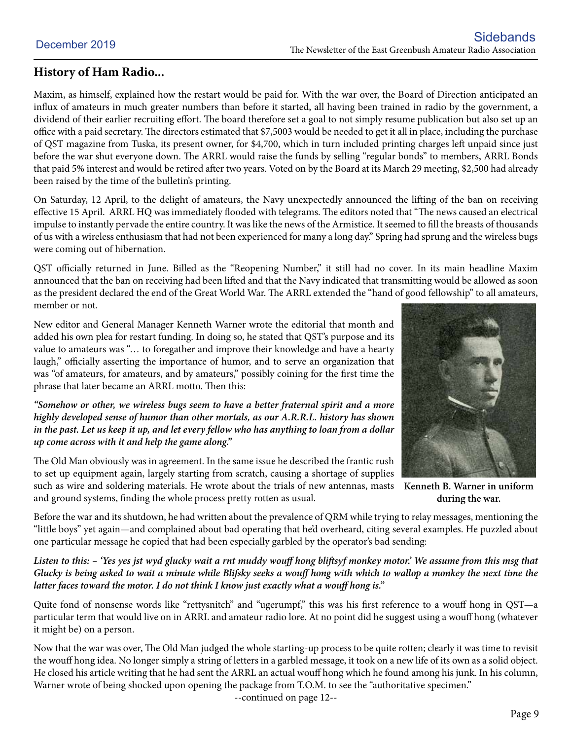## **History of Ham Radio...**

Maxim, as himself, explained how the restart would be paid for. With the war over, the Board of Direction anticipated an influx of amateurs in much greater numbers than before it started, all having been trained in radio by the government, a dividend of their earlier recruiting effort. The board therefore set a goal to not simply resume publication but also set up an office with a paid secretary. The directors estimated that \$7,5003 would be needed to get it all in place, including the purchase of QST magazine from Tuska, its present owner, for \$4,700, which in turn included printing charges left unpaid since just before the war shut everyone down. The ARRL would raise the funds by selling "regular bonds" to members, ARRL Bonds that paid 5% interest and would be retired after two years. Voted on by the Board at its March 29 meeting, \$2,500 had already been raised by the time of the bulletin's printing.

On Saturday, 12 April, to the delight of amateurs, the Navy unexpectedly announced the lifting of the ban on receiving effective 15 April. ARRL HQ was immediately flooded with telegrams. The editors noted that "The news caused an electrical impulse to instantly pervade the entire country. It was like the news of the Armistice. It seemed to fill the breasts of thousands of us with a wireless enthusiasm that had not been experienced for many a long day." Spring had sprung and the wireless bugs were coming out of hibernation.

QST officially returned in June. Billed as the "Reopening Number," it still had no cover. In its main headline Maxim announced that the ban on receiving had been lifted and that the Navy indicated that transmitting would be allowed as soon as the president declared the end of the Great World War. The ARRL extended the "hand of good fellowship" to all amateurs, member or not.

New editor and General Manager Kenneth Warner wrote the editorial that month and added his own plea for restart funding. In doing so, he stated that QST's purpose and its value to amateurs was "… to foregather and improve their knowledge and have a hearty laugh," officially asserting the importance of humor, and to serve an organization that was "of amateurs, for amateurs, and by amateurs," possibly coining for the first time the phrase that later became an ARRL motto. Then this:

*"Somehow or other, we wireless bugs seem to have a better fraternal spirit and a more highly developed sense of humor than other mortals, as our A.R.R.L. history has shown in the past. Let us keep it up, and let every fellow who has anything to loan from a dollar up come across with it and help the game along."*

The Old Man obviously was in agreement. In the same issue he described the frantic rush to set up equipment again, largely starting from scratch, causing a shortage of supplies such as wire and soldering materials. He wrote about the trials of new antennas, masts and ground systems, finding the whole process pretty rotten as usual.



**Kenneth B. Warner in uniform during the war.**

Before the war and its shutdown, he had written about the prevalence of QRM while trying to relay messages, mentioning the "little boys" yet again—and complained about bad operating that he'd overheard, citing several examples. He puzzled about one particular message he copied that had been especially garbled by the operator's bad sending:

*Listen to this: – 'Yes yes jst wyd glucky wait a rnt muddy wouff hong bliftsyf monkey motor.' We assume from this msg that Glucky is being asked to wait a minute while Blifsky seeks a wouff hong with which to wallop a monkey the next time the latter faces toward the motor. I do not think I know just exactly what a wouff hong is."*

Quite fond of nonsense words like "rettysnitch" and "ugerumpf," this was his first reference to a wouff hong in QST-a particular term that would live on in ARRL and amateur radio lore. At no point did he suggest using a wouff hong (whatever it might be) on a person.

Now that the war was over, The Old Man judged the whole starting-up process to be quite rotten; clearly it was time to revisit the wouff hong idea. No longer simply a string of letters in a garbled message, it took on a new life of its own as a solid object. He closed his article writing that he had sent the ARRL an actual wouff hong which he found among his junk. In his column, Warner wrote of being shocked upon opening the package from T.O.M. to see the "authoritative specimen."

--continued on page 12--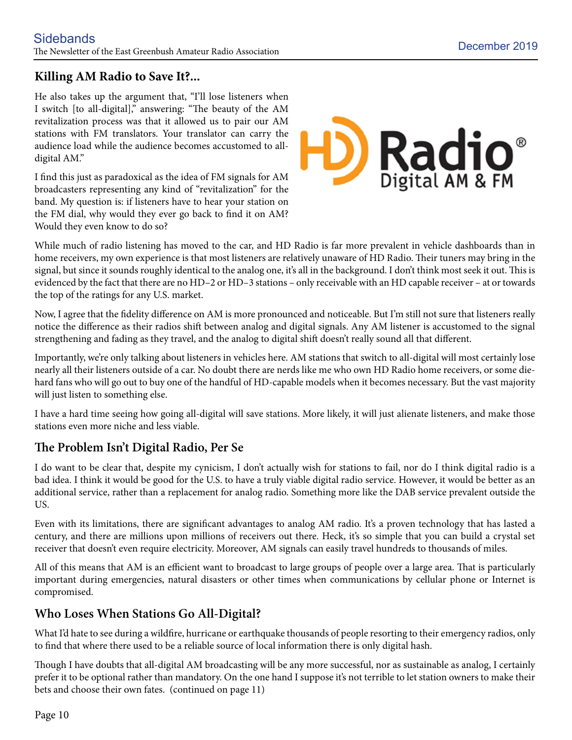# **Killing AM Radio to Save It?...**

He also takes up the argument that, "I'll lose listeners when I switch [to all-digital]," answering: "The beauty of the AM revitalization process was that it allowed us to pair our AM stations with FM translators. Your translator can carry the audience load while the audience becomes accustomed to alldigital AM."

I find this just as paradoxical as the idea of FM signals for AM broadcasters representing any kind of "revitalization" for the band. My question is: if listeners have to hear your station on the FM dial, why would they ever go back to find it on AM? Would they even know to do so?



While much of radio listening has moved to the car, and HD Radio is far more prevalent in vehicle dashboards than in home receivers, my own experience is that most listeners are relatively unaware of HD Radio. Their tuners may bring in the signal, but since it sounds roughly identical to the analog one, it's all in the background. I don't think most seek it out. This is evidenced by the fact that there are no HD–2 or HD–3 stations – only receivable with an HD capable receiver – at or towards the top of the ratings for any U.S. market.

Now, I agree that the fidelity difference on AM is more pronounced and noticeable. But I'm still not sure that listeners really notice the difference as their radios shift between analog and digital signals. Any AM listener is accustomed to the signal strengthening and fading as they travel, and the analog to digital shift doesn't really sound all that different.

Importantly, we're only talking about listeners in vehicles here. AM stations that switch to all-digital will most certainly lose nearly all their listeners outside of a car. No doubt there are nerds like me who own HD Radio home receivers, or some diehard fans who will go out to buy one of the handful of HD-capable models when it becomes necessary. But the vast majority will just listen to something else.

I have a hard time seeing how going all-digital will save stations. More likely, it will just alienate listeners, and make those stations even more niche and less viable.

# **The Problem Isn't Digital Radio, Per Se**

I do want to be clear that, despite my cynicism, I don't actually wish for stations to fail, nor do I think digital radio is a bad idea. I think it would be good for the U.S. to have a truly viable digital radio service. However, it would be better as an additional service, rather than a replacement for analog radio. Something more like the DAB service prevalent outside the US.

Even with its limitations, there are significant advantages to analog AM radio. It's a proven technology that has lasted a century, and there are millions upon millions of receivers out there. Heck, it's so simple that you can build a crystal set receiver that doesn't even require electricity. Moreover, AM signals can easily travel hundreds to thousands of miles.

All of this means that AM is an efficient want to broadcast to large groups of people over a large area. That is particularly important during emergencies, natural disasters or other times when communications by cellular phone or Internet is compromised.

## **Who Loses When Stations Go All-Digital?**

What I'd hate to see during a wildfire, hurricane or earthquake thousands of people resorting to their emergency radios, only to find that where there used to be a reliable source of local information there is only digital hash.

Though I have doubts that all-digital AM broadcasting will be any more successful, nor as sustainable as analog, I certainly prefer it to be optional rather than mandatory. On the one hand I suppose it's not terrible to let station owners to make their bets and choose their own fates. (continued on page 11)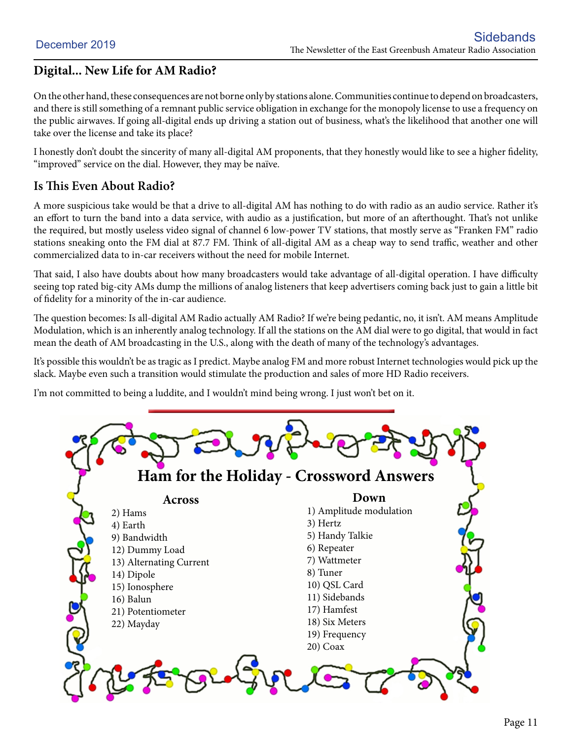# **Digital... New Life for AM Radio?**

On the other hand, these consequences are not borne only by stations alone. Communities continue to depend on broadcasters, and there is still something of a remnant public service obligation in exchange for the monopoly license to use a frequency on the public airwaves. If going all-digital ends up driving a station out of business, what's the likelihood that another one will take over the license and take its place?

I honestly don't doubt the sincerity of many all-digital AM proponents, that they honestly would like to see a higher fidelity, "improved" service on the dial. However, they may be naïve.

## **Is This Even About Radio?**

A more suspicious take would be that a drive to all-digital AM has nothing to do with radio as an audio service. Rather it's an effort to turn the band into a data service, with audio as a justification, but more of an afterthought. That's not unlike the required, but mostly useless video signal of channel 6 low-power TV stations, that mostly serve as "Franken FM" radio stations sneaking onto the FM dial at 87.7 FM. Think of all-digital AM as a cheap way to send traffic, weather and other commercialized data to in-car receivers without the need for mobile Internet.

That said, I also have doubts about how many broadcasters would take advantage of all-digital operation. I have difficulty seeing top rated big-city AMs dump the millions of analog listeners that keep advertisers coming back just to gain a little bit of fidelity for a minority of the in-car audience.

The question becomes: Is all-digital AM Radio actually AM Radio? If we're being pedantic, no, it isn't. AM means Amplitude Modulation, which is an inherently analog technology. If all the stations on the AM dial were to go digital, that would in fact mean the death of AM broadcasting in the U.S., along with the death of many of the technology's advantages.

It's possible this wouldn't be as tragic as I predict. Maybe analog FM and more robust Internet technologies would pick up the slack. Maybe even such a transition would stimulate the production and sales of more HD Radio receivers.

I'm not committed to being a luddite, and I wouldn't mind being wrong. I just won't bet on it.

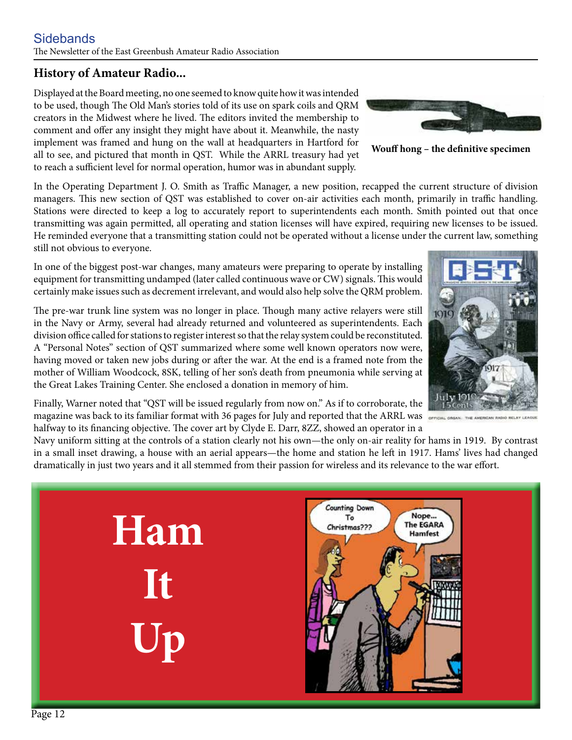### **Sidebands** The Newsletter of the East Greenbush Amateur Radio Association

# **History of Amateur Radio...**

Displayed at the Board meeting, no one seemed to know quite how it was intended to be used, though The Old Man's stories told of its use on spark coils and QRM creators in the Midwest where he lived. The editors invited the membership to comment and offer any insight they might have about it. Meanwhile, the nasty implement was framed and hung on the wall at headquarters in Hartford for all to see, and pictured that month in QST. While the ARRL treasury had yet to reach a sufficient level for normal operation, humor was in abundant supply.

In the Operating Department J. O. Smith as Traffic Manager, a new position, recapped the current structure of division managers. This new section of QST was established to cover on-air activities each month, primarily in traffic handling. Stations were directed to keep a log to accurately report to superintendents each month. Smith pointed out that once transmitting was again permitted, all operating and station licenses will have expired, requiring new licenses to be issued. He reminded everyone that a transmitting station could not be operated without a license under the current law, something still not obvious to everyone.

In one of the biggest post-war changes, many amateurs were preparing to operate by installing equipment for transmitting undamped (later called continuous wave or CW) signals. This would certainly make issues such as decrement irrelevant, and would also help solve the QRM problem.

The pre-war trunk line system was no longer in place. Though many active relayers were still in the Navy or Army, several had already returned and volunteered as superintendents. Each division office called for stations to register interest so that the relay system could be reconstituted. A "Personal Notes" section of QST summarized where some well known operators now were, having moved or taken new jobs during or after the war. At the end is a framed note from the mother of William Woodcock, 8SK, telling of her son's death from pneumonia while serving at the Great Lakes Training Center. She enclosed a donation in memory of him.

Finally, Warner noted that "QST will be issued regularly from now on." As if to corroborate, the magazine was back to its familiar format with 36 pages for July and reported that the ARRL was halfway to its financing objective. The cover art by Clyde E. Darr, 8ZZ, showed an operator in a

**Ham**

**It**

**Up**

Navy uniform sitting at the controls of a station clearly not his own—the only on-air reality for hams in 1919. By contrast in a small inset drawing, a house with an aerial appears—the home and station he left in 1917. Hams' lives had changed dramatically in just two years and it all stemmed from their passion for wireless and its relevance to the war effort.







**Wouff hong – the definitive specimen**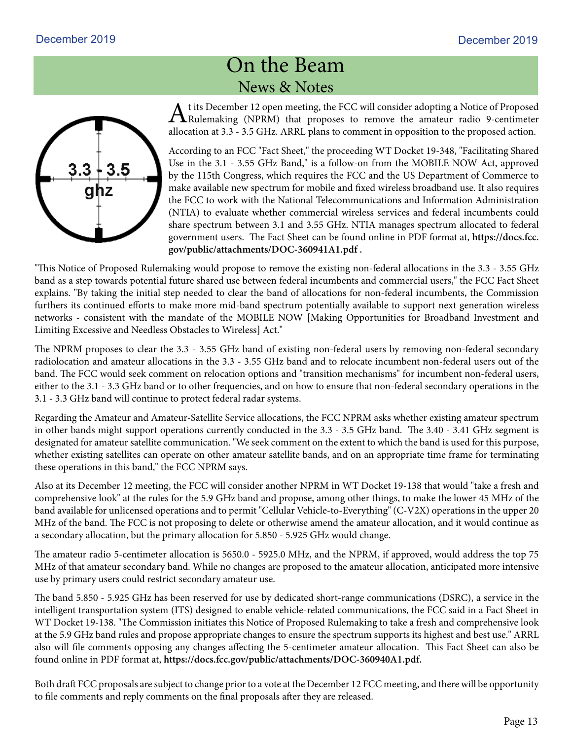# On the Beam News & Notes

At its December 12 open meeting, the FCC will consider adopting a Notice of Proposed<br>Rulemaking (NPRM) that proposes to remove the amateur radio 9-centimeter allocation at 3.3 - 3.5 GHz. ARRL plans to comment in opposition to the proposed action.

According to an FCC "Fact Sheet," the proceeding WT Docket 19-348, "Facilitating Shared Use in the 3.1 - 3.55 GHz Band," is a follow-on from the MOBILE NOW Act, approved by the 115th Congress, which requires the FCC and the US Department of Commerce to make available new spectrum for mobile and fixed wireless broadband use. It also requires the FCC to work with the National Telecommunications and Information Administration (NTIA) to evaluate whether commercial wireless services and federal incumbents could share spectrum between 3.1 and 3.55 GHz. NTIA manages spectrum allocated to federal government users. The Fact Sheet can be found online in PDF format at, **https://docs.fcc. gov/public/attachments/DOC-360941A1.pdf .**

"This Notice of Proposed Rulemaking would propose to remove the existing non-federal allocations in the 3.3 - 3.55 GHz band as a step towards potential future shared use between federal incumbents and commercial users," the FCC Fact Sheet explains. "By taking the initial step needed to clear the band of allocations for non-federal incumbents, the Commission furthers its continued efforts to make more mid-band spectrum potentially available to support next generation wireless networks - consistent with the mandate of the MOBILE NOW [Making Opportunities for Broadband Investment and Limiting Excessive and Needless Obstacles to Wireless] Act."

The NPRM proposes to clear the 3.3 - 3.55 GHz band of existing non-federal users by removing non-federal secondary radiolocation and amateur allocations in the 3.3 - 3.55 GHz band and to relocate incumbent non-federal users out of the band. The FCC would seek comment on relocation options and "transition mechanisms" for incumbent non-federal users, either to the 3.1 - 3.3 GHz band or to other frequencies, and on how to ensure that non-federal secondary operations in the 3.1 - 3.3 GHz band will continue to protect federal radar systems.

Regarding the Amateur and Amateur-Satellite Service allocations, the FCC NPRM asks whether existing amateur spectrum in other bands might support operations currently conducted in the 3.3 - 3.5 GHz band. The 3.40 - 3.41 GHz segment is designated for amateur satellite communication. "We seek comment on the extent to which the band is used for this purpose, whether existing satellites can operate on other amateur satellite bands, and on an appropriate time frame for terminating these operations in this band," the FCC NPRM says.

Also at its December 12 meeting, the FCC will consider another NPRM in WT Docket 19-138 that would "take a fresh and comprehensive look" at the rules for the 5.9 GHz band and propose, among other things, to make the lower 45 MHz of the band available for unlicensed operations and to permit "Cellular Vehicle-to-Everything" (C-V2X) operations in the upper 20 MHz of the band. The FCC is not proposing to delete or otherwise amend the amateur allocation, and it would continue as a secondary allocation, but the primary allocation for 5.850 - 5.925 GHz would change.

The amateur radio 5-centimeter allocation is 5650.0 - 5925.0 MHz, and the NPRM, if approved, would address the top 75 MHz of that amateur secondary band. While no changes are proposed to the amateur allocation, anticipated more intensive use by primary users could restrict secondary amateur use.

The band 5.850 - 5.925 GHz has been reserved for use by dedicated short-range communications (DSRC), a service in the intelligent transportation system (ITS) designed to enable vehicle-related communications, the FCC said in a Fact Sheet in WT Docket 19-138. "The Commission initiates this Notice of Proposed Rulemaking to take a fresh and comprehensive look at the 5.9 GHz band rules and propose appropriate changes to ensure the spectrum supports its highest and best use." ARRL also will file comments opposing any changes affecting the 5-centimeter amateur allocation. This Fact Sheet can also be found online in PDF format at, **https://docs.fcc.gov/public/attachments/DOC-360940A1.pdf.**

Both draft FCC proposals are subject to change prior to a vote at the December 12 FCC meeting, and there will be opportunity to file comments and reply comments on the final proposals after they are released.